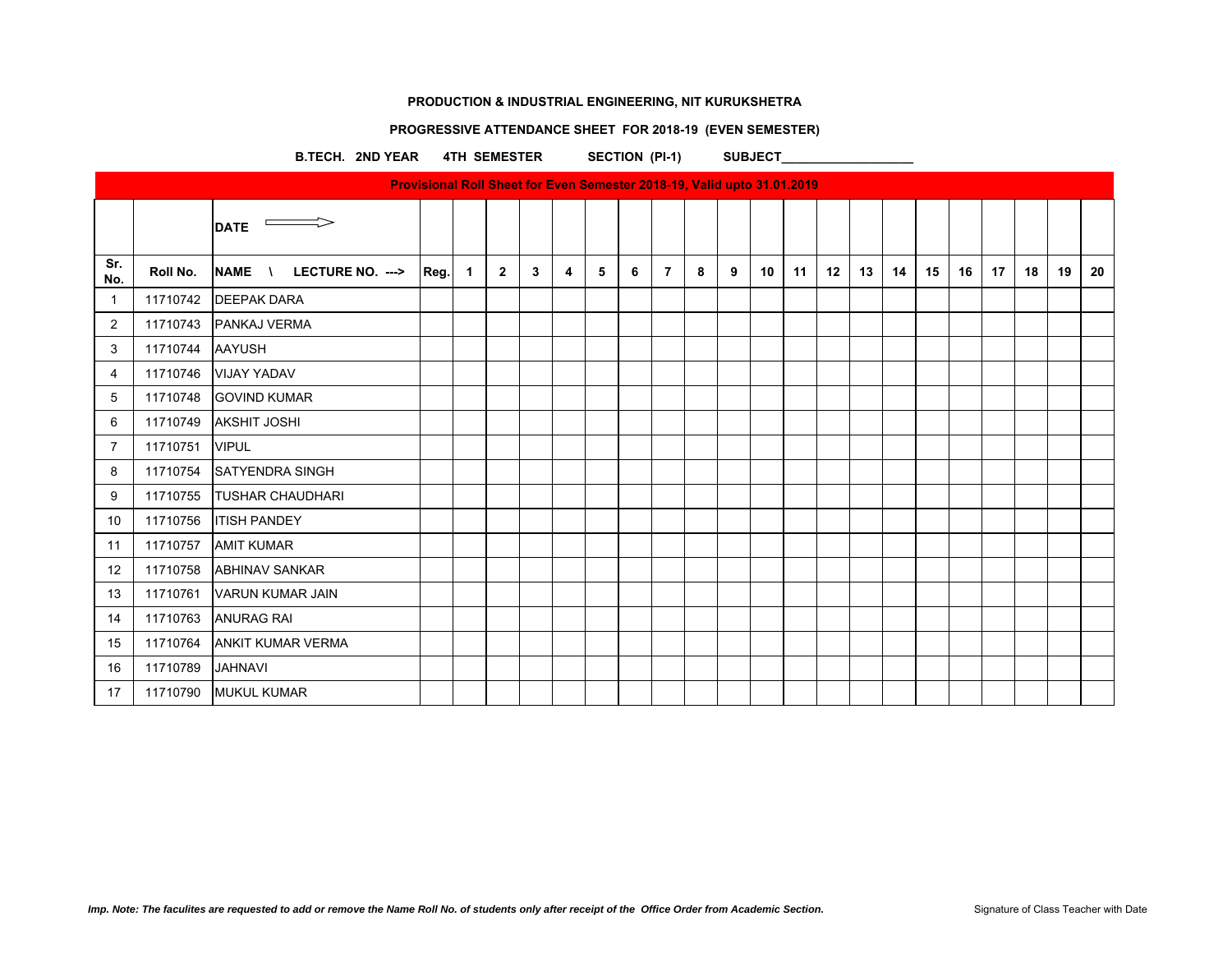# **PROGRESSIVE ATTENDANCE SHEET FOR 2018-19 (EVEN SEMESTER)**

B.TECH. 2ND YEAR 4TH SEMESTER SECTION (PI-1) SUBJECT

| Provisional Roll Sheet for Even Semester 2018-19, Valid upto 31.01.2019 |          |                                                  |      |   |              |   |   |   |   |                |   |   |    |    |    |    |    |    |    |    |    |    |    |
|-------------------------------------------------------------------------|----------|--------------------------------------------------|------|---|--------------|---|---|---|---|----------------|---|---|----|----|----|----|----|----|----|----|----|----|----|
|                                                                         |          | <b>DATE</b>                                      |      |   |              |   |   |   |   |                |   |   |    |    |    |    |    |    |    |    |    |    |    |
| Sr.<br>No.                                                              | Roll No. | LECTURE NO. ---><br><b>NAME</b><br>$\mathcal{L}$ | Reg. | 1 | $\mathbf{2}$ | 3 | 4 | 5 | 6 | $\overline{7}$ | 8 | 9 | 10 | 11 | 12 | 13 | 14 | 15 | 16 | 17 | 18 | 19 | 20 |
| -1                                                                      | 11710742 | <b>DEEPAK DARA</b>                               |      |   |              |   |   |   |   |                |   |   |    |    |    |    |    |    |    |    |    |    |    |
| 2                                                                       | 11710743 | PANKAJ VERMA                                     |      |   |              |   |   |   |   |                |   |   |    |    |    |    |    |    |    |    |    |    |    |
| 3                                                                       | 11710744 | <b>AAYUSH</b>                                    |      |   |              |   |   |   |   |                |   |   |    |    |    |    |    |    |    |    |    |    |    |
| 4                                                                       | 11710746 | <b>VIJAY YADAV</b>                               |      |   |              |   |   |   |   |                |   |   |    |    |    |    |    |    |    |    |    |    |    |
| 5                                                                       | 11710748 | <b>GOVIND KUMAR</b>                              |      |   |              |   |   |   |   |                |   |   |    |    |    |    |    |    |    |    |    |    |    |
| 6                                                                       | 11710749 | <b>AKSHIT JOSHI</b>                              |      |   |              |   |   |   |   |                |   |   |    |    |    |    |    |    |    |    |    |    |    |
| $\overline{7}$                                                          | 11710751 | <b>VIPUL</b>                                     |      |   |              |   |   |   |   |                |   |   |    |    |    |    |    |    |    |    |    |    |    |
| 8                                                                       | 11710754 | <b>SATYENDRA SINGH</b>                           |      |   |              |   |   |   |   |                |   |   |    |    |    |    |    |    |    |    |    |    |    |
| 9                                                                       | 11710755 | <b>TUSHAR CHAUDHARI</b>                          |      |   |              |   |   |   |   |                |   |   |    |    |    |    |    |    |    |    |    |    |    |
| 10                                                                      | 11710756 | <b>ITISH PANDEY</b>                              |      |   |              |   |   |   |   |                |   |   |    |    |    |    |    |    |    |    |    |    |    |
| 11                                                                      | 11710757 | <b>AMIT KUMAR</b>                                |      |   |              |   |   |   |   |                |   |   |    |    |    |    |    |    |    |    |    |    |    |
| 12                                                                      | 11710758 | <b>ABHINAV SANKAR</b>                            |      |   |              |   |   |   |   |                |   |   |    |    |    |    |    |    |    |    |    |    |    |
| 13                                                                      | 11710761 | <b>VARUN KUMAR JAIN</b>                          |      |   |              |   |   |   |   |                |   |   |    |    |    |    |    |    |    |    |    |    |    |
| 14                                                                      | 11710763 | <b>ANURAG RAI</b>                                |      |   |              |   |   |   |   |                |   |   |    |    |    |    |    |    |    |    |    |    |    |
| 15                                                                      | 11710764 | <b>ANKIT KUMAR VERMA</b>                         |      |   |              |   |   |   |   |                |   |   |    |    |    |    |    |    |    |    |    |    |    |
| 16                                                                      | 11710789 | <b>JAHNAVI</b>                                   |      |   |              |   |   |   |   |                |   |   |    |    |    |    |    |    |    |    |    |    |    |
| 17                                                                      | 11710790 | <b>MUKUL KUMAR</b>                               |      |   |              |   |   |   |   |                |   |   |    |    |    |    |    |    |    |    |    |    |    |
|                                                                         |          |                                                  |      |   |              |   |   |   |   |                |   |   |    |    |    |    |    |    |    |    |    |    |    |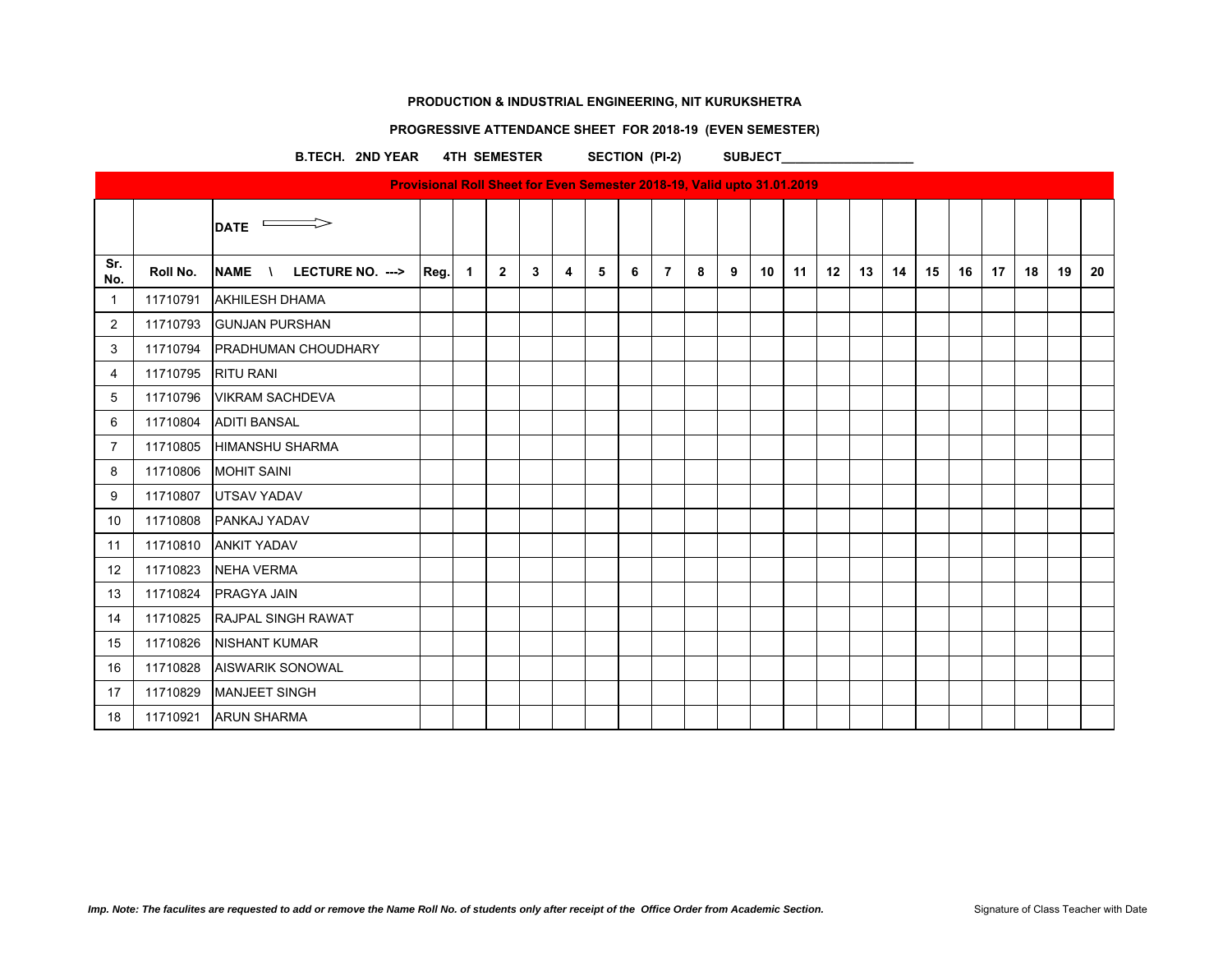# **PROGRESSIVE ATTENDANCE SHEET FOR 2018-19 (EVEN SEMESTER)**

B.TECH. 2ND YEAR 4TH SEMESTER SECTION (PI-2) SUBJECT

|                |          |                                                        | <b>Provisional Roll Sheet for Even Semester 2018-19, Valid upto 31.01.2019</b> |             |              |   |   |   |   |                |   |   |                 |    |    |    |    |    |    |    |    |    |    |
|----------------|----------|--------------------------------------------------------|--------------------------------------------------------------------------------|-------------|--------------|---|---|---|---|----------------|---|---|-----------------|----|----|----|----|----|----|----|----|----|----|
|                |          | $\overline{\phantom{0}}$ DATE $\overline{\phantom{0}}$ |                                                                                |             |              |   |   |   |   |                |   |   |                 |    |    |    |    |    |    |    |    |    |    |
| Sr.<br>No.     | Roll No. | LECTURE NO. ---><br><b>NAME</b>                        | Reg.                                                                           | $\mathbf 1$ | $\mathbf{2}$ | 3 | 4 | 5 | 6 | $\overline{7}$ | 8 | 9 | 10 <sup>°</sup> | 11 | 12 | 13 | 14 | 15 | 16 | 17 | 18 | 19 | 20 |
| $\mathbf{1}$   | 11710791 | <b>AKHILESH DHAMA</b>                                  |                                                                                |             |              |   |   |   |   |                |   |   |                 |    |    |    |    |    |    |    |    |    |    |
| 2              | 11710793 | <b>GUNJAN PURSHAN</b>                                  |                                                                                |             |              |   |   |   |   |                |   |   |                 |    |    |    |    |    |    |    |    |    |    |
| 3              | 11710794 | <b>PRADHUMAN CHOUDHARY</b>                             |                                                                                |             |              |   |   |   |   |                |   |   |                 |    |    |    |    |    |    |    |    |    |    |
| 4              | 11710795 | <b>RITU RANI</b>                                       |                                                                                |             |              |   |   |   |   |                |   |   |                 |    |    |    |    |    |    |    |    |    |    |
| 5              | 11710796 | <b>VIKRAM SACHDEVA</b>                                 |                                                                                |             |              |   |   |   |   |                |   |   |                 |    |    |    |    |    |    |    |    |    |    |
| 6              | 11710804 | <b>ADITI BANSAL</b>                                    |                                                                                |             |              |   |   |   |   |                |   |   |                 |    |    |    |    |    |    |    |    |    |    |
| $\overline{7}$ | 11710805 | <b>HIMANSHU SHARMA</b>                                 |                                                                                |             |              |   |   |   |   |                |   |   |                 |    |    |    |    |    |    |    |    |    |    |
| 8              | 11710806 | <b>MOHIT SAINI</b>                                     |                                                                                |             |              |   |   |   |   |                |   |   |                 |    |    |    |    |    |    |    |    |    |    |
| 9              | 11710807 | <b>UTSAV YADAV</b>                                     |                                                                                |             |              |   |   |   |   |                |   |   |                 |    |    |    |    |    |    |    |    |    |    |
| 10             | 11710808 | <b>PANKAJ YADAV</b>                                    |                                                                                |             |              |   |   |   |   |                |   |   |                 |    |    |    |    |    |    |    |    |    |    |
| 11             | 11710810 | <b>ANKIT YADAV</b>                                     |                                                                                |             |              |   |   |   |   |                |   |   |                 |    |    |    |    |    |    |    |    |    |    |
| 12             | 11710823 | <b>NEHA VERMA</b>                                      |                                                                                |             |              |   |   |   |   |                |   |   |                 |    |    |    |    |    |    |    |    |    |    |
| 13             | 11710824 | PRAGYA JAIN                                            |                                                                                |             |              |   |   |   |   |                |   |   |                 |    |    |    |    |    |    |    |    |    |    |
| 14             | 11710825 | <b>RAJPAL SINGH RAWAT</b>                              |                                                                                |             |              |   |   |   |   |                |   |   |                 |    |    |    |    |    |    |    |    |    |    |
| 15             | 11710826 | <b>NISHANT KUMAR</b>                                   |                                                                                |             |              |   |   |   |   |                |   |   |                 |    |    |    |    |    |    |    |    |    |    |
| 16             | 11710828 | <b>AISWARIK SONOWAL</b>                                |                                                                                |             |              |   |   |   |   |                |   |   |                 |    |    |    |    |    |    |    |    |    |    |
| 17             | 11710829 | <b>MANJEET SINGH</b>                                   |                                                                                |             |              |   |   |   |   |                |   |   |                 |    |    |    |    |    |    |    |    |    |    |
| 18             | 11710921 | <b>ARUN SHARMA</b>                                     |                                                                                |             |              |   |   |   |   |                |   |   |                 |    |    |    |    |    |    |    |    |    |    |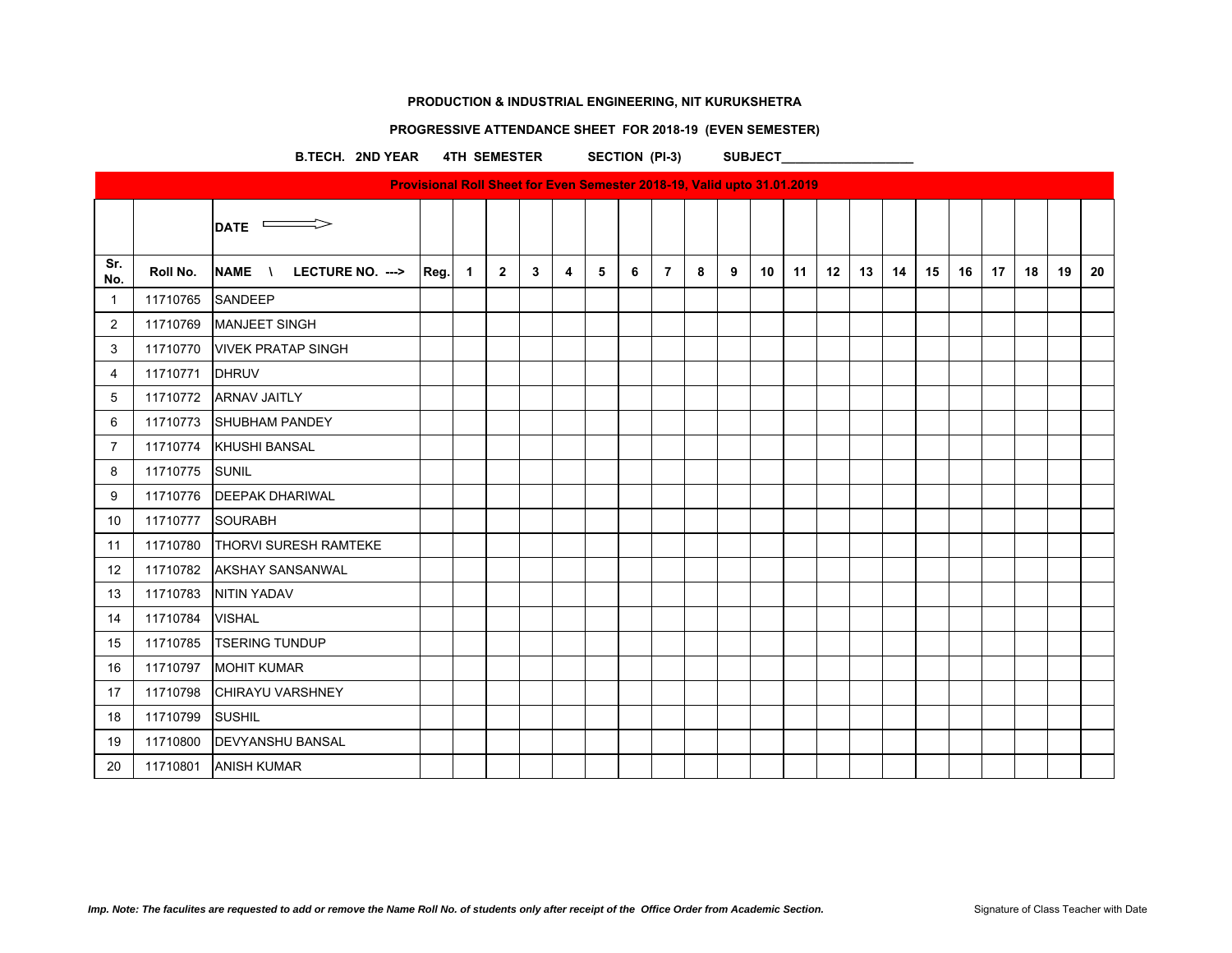# **PROGRESSIVE ATTENDANCE SHEET FOR 2018-19 (EVEN SEMESTER)**

B.TECH. 2ND YEAR 4TH SEMESTER SECTION (PI-3) SUBJECT

|                |          |                               |      |              |                |   |   |   |   |                |   |   |    | <b>Provisional Roll Sheet for Even Semester 2018-19, Valid upto 31.01.2019</b> |    |    |    |    |    |    |    |    |    |
|----------------|----------|-------------------------------|------|--------------|----------------|---|---|---|---|----------------|---|---|----|--------------------------------------------------------------------------------|----|----|----|----|----|----|----|----|----|
|                |          | $\overline{\phantom{a}}$ DATE |      |              |                |   |   |   |   |                |   |   |    |                                                                                |    |    |    |    |    |    |    |    |    |
| Sr.<br>No.     | Roll No. | LECTURE NO. ---><br>NAME \    | Reg. | $\mathbf{1}$ | $\overline{2}$ | 3 | 4 | 5 | 6 | $\overline{7}$ | 8 | 9 | 10 | 11                                                                             | 12 | 13 | 14 | 15 | 16 | 17 | 18 | 19 | 20 |
| $\mathbf{1}$   | 11710765 | SANDEEP                       |      |              |                |   |   |   |   |                |   |   |    |                                                                                |    |    |    |    |    |    |    |    |    |
| $\overline{2}$ | 11710769 | <b>MANJEET SINGH</b>          |      |              |                |   |   |   |   |                |   |   |    |                                                                                |    |    |    |    |    |    |    |    |    |
| 3              | 11710770 | <b>VIVEK PRATAP SINGH</b>     |      |              |                |   |   |   |   |                |   |   |    |                                                                                |    |    |    |    |    |    |    |    |    |
| 4              | 11710771 | <b>DHRUV</b>                  |      |              |                |   |   |   |   |                |   |   |    |                                                                                |    |    |    |    |    |    |    |    |    |
| 5              | 11710772 | <b>ARNAV JAITLY</b>           |      |              |                |   |   |   |   |                |   |   |    |                                                                                |    |    |    |    |    |    |    |    |    |
| 6              | 11710773 | <b>SHUBHAM PANDEY</b>         |      |              |                |   |   |   |   |                |   |   |    |                                                                                |    |    |    |    |    |    |    |    |    |
| $\overline{7}$ | 11710774 | <b>KHUSHI BANSAL</b>          |      |              |                |   |   |   |   |                |   |   |    |                                                                                |    |    |    |    |    |    |    |    |    |
| 8              | 11710775 | SUNIL                         |      |              |                |   |   |   |   |                |   |   |    |                                                                                |    |    |    |    |    |    |    |    |    |
| 9              | 11710776 | <b>DEEPAK DHARIWAL</b>        |      |              |                |   |   |   |   |                |   |   |    |                                                                                |    |    |    |    |    |    |    |    |    |
| 10             | 11710777 | <b>SOURABH</b>                |      |              |                |   |   |   |   |                |   |   |    |                                                                                |    |    |    |    |    |    |    |    |    |
| 11             | 11710780 | <b>THORVI SURESH RAMTEKE</b>  |      |              |                |   |   |   |   |                |   |   |    |                                                                                |    |    |    |    |    |    |    |    |    |
| 12             | 11710782 | <b>AKSHAY SANSANWAL</b>       |      |              |                |   |   |   |   |                |   |   |    |                                                                                |    |    |    |    |    |    |    |    |    |
| 13             | 11710783 | <b>NITIN YADAV</b>            |      |              |                |   |   |   |   |                |   |   |    |                                                                                |    |    |    |    |    |    |    |    |    |
| 14             | 11710784 | <b>VISHAL</b>                 |      |              |                |   |   |   |   |                |   |   |    |                                                                                |    |    |    |    |    |    |    |    |    |
| 15             | 11710785 | <b>TSERING TUNDUP</b>         |      |              |                |   |   |   |   |                |   |   |    |                                                                                |    |    |    |    |    |    |    |    |    |
| 16             | 11710797 | <b>MOHIT KUMAR</b>            |      |              |                |   |   |   |   |                |   |   |    |                                                                                |    |    |    |    |    |    |    |    |    |
| 17             | 11710798 | <b>CHIRAYU VARSHNEY</b>       |      |              |                |   |   |   |   |                |   |   |    |                                                                                |    |    |    |    |    |    |    |    |    |
| 18             | 11710799 | <b>SUSHIL</b>                 |      |              |                |   |   |   |   |                |   |   |    |                                                                                |    |    |    |    |    |    |    |    |    |
| 19             | 11710800 | <b>DEVYANSHU BANSAL</b>       |      |              |                |   |   |   |   |                |   |   |    |                                                                                |    |    |    |    |    |    |    |    |    |
| 20             | 11710801 | <b>ANISH KUMAR</b>            |      |              |                |   |   |   |   |                |   |   |    |                                                                                |    |    |    |    |    |    |    |    |    |